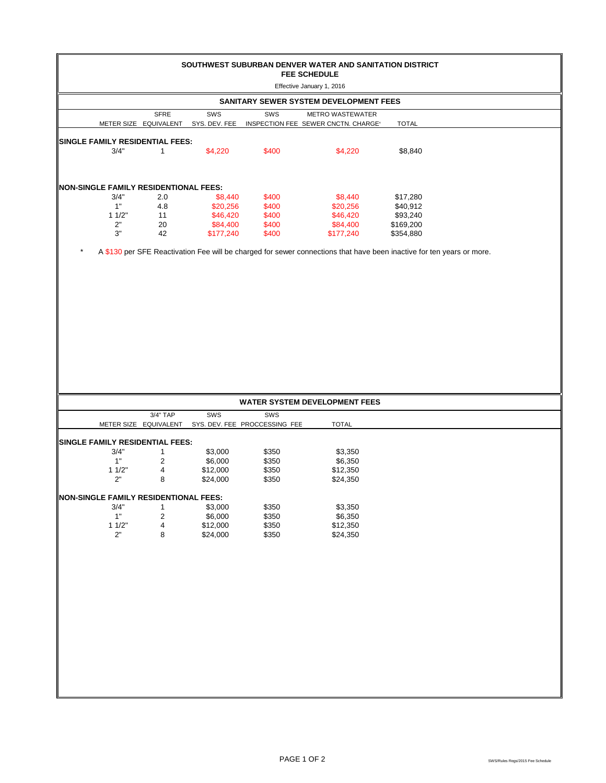| SOUTHWEST SUBURBAN DENVER WATER AND SANITATION DISTRICT<br><b>FEE SCHEDULE</b><br>Effective January 1, 2016<br>SANITARY SEWER SYSTEM DEVELOPMENT FEES |                         |                      |                                      |                                                                                                                       |                       |  |  |
|-------------------------------------------------------------------------------------------------------------------------------------------------------|-------------------------|----------------------|--------------------------------------|-----------------------------------------------------------------------------------------------------------------------|-----------------------|--|--|
|                                                                                                                                                       |                         |                      |                                      |                                                                                                                       |                       |  |  |
|                                                                                                                                                       | METER SIZE EQUIVALENT   | SYS. DEV. FEE        |                                      | INSPECTION FEE SEWER CNCTN. CHARGE'                                                                                   | <b>TOTAL</b>          |  |  |
| SINGLE FAMILY RESIDENTIAL FEES:                                                                                                                       |                         |                      |                                      |                                                                                                                       |                       |  |  |
| 3/4"                                                                                                                                                  | $\mathbf{1}$            | \$4,220              | \$400                                | \$4,220                                                                                                               | \$8,840               |  |  |
| <b>NON-SINGLE FAMILY RESIDENTIONAL FEES:</b>                                                                                                          |                         |                      |                                      |                                                                                                                       |                       |  |  |
| 3/4"                                                                                                                                                  | 2.0                     | \$8,440              | \$400                                | \$8,440                                                                                                               | \$17,280              |  |  |
| $1"$                                                                                                                                                  | 4.8                     | \$20,256             | \$400                                | \$20,256                                                                                                              | \$40,912              |  |  |
| 11/2"<br>2"                                                                                                                                           | 11<br>20                | \$46,420<br>\$84,400 | \$400<br>\$400                       | \$46,420<br>\$84,400                                                                                                  | \$93,240<br>\$169,200 |  |  |
| $3"$                                                                                                                                                  | 42                      | \$177,240            | \$400                                | \$177,240                                                                                                             | \$354,880             |  |  |
|                                                                                                                                                       |                         |                      |                                      | A \$130 per SFE Reactivation Fee will be charged for sewer connections that have been inactive for ten years or more. |                       |  |  |
|                                                                                                                                                       |                         |                      |                                      | <b>WATER SYSTEM DEVELOPMENT FEES</b>                                                                                  |                       |  |  |
|                                                                                                                                                       | 3/4" TAP                | SWS                  | SWS<br>SYS. DEV. FEE PROCCESSING FEE | <b>TOTAL</b>                                                                                                          |                       |  |  |
|                                                                                                                                                       | METER SIZE EQUIVALENT   |                      |                                      |                                                                                                                       |                       |  |  |
| SINGLE FAMILY RESIDENTIAL FEES:<br>3/4"                                                                                                               | 1                       | \$3,000              | \$350                                | \$3,350                                                                                                               |                       |  |  |
| 1"                                                                                                                                                    | 2                       | \$6,000              | \$350                                | \$6,350                                                                                                               |                       |  |  |
| 11/2"                                                                                                                                                 | 4                       | \$12,000             | \$350                                | \$12,350                                                                                                              |                       |  |  |
| 2"                                                                                                                                                    | 8                       | \$24,000             | \$350                                | \$24,350                                                                                                              |                       |  |  |
| <b>NON-SINGLE FAMILY RESIDENTIONAL FEES:</b>                                                                                                          |                         |                      |                                      |                                                                                                                       |                       |  |  |
| 3/4"                                                                                                                                                  | $\mathbf{1}$            | \$3,000              | \$350                                | \$3,350                                                                                                               |                       |  |  |
| 1"                                                                                                                                                    | $\overline{\mathbf{c}}$ | \$6,000              | \$350                                | \$6,350                                                                                                               |                       |  |  |
| 11/2"                                                                                                                                                 | 4                       | \$12,000             | \$350                                | \$12,350                                                                                                              |                       |  |  |
| $2"$                                                                                                                                                  | 8                       | \$24,000             | \$350                                | \$24,350                                                                                                              |                       |  |  |
|                                                                                                                                                       |                         |                      |                                      |                                                                                                                       |                       |  |  |
|                                                                                                                                                       |                         |                      |                                      |                                                                                                                       |                       |  |  |
|                                                                                                                                                       |                         |                      |                                      |                                                                                                                       |                       |  |  |
|                                                                                                                                                       |                         |                      |                                      |                                                                                                                       |                       |  |  |
|                                                                                                                                                       |                         |                      |                                      |                                                                                                                       |                       |  |  |
|                                                                                                                                                       |                         |                      |                                      |                                                                                                                       |                       |  |  |
|                                                                                                                                                       |                         |                      |                                      |                                                                                                                       |                       |  |  |